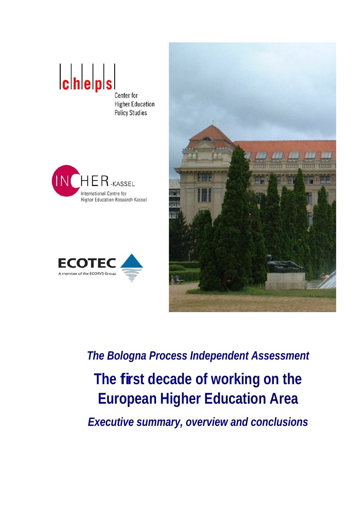# $|c|$ h $|e|p|s|$

Center for **Higher Education Policy Studies** 







*The Bologna Process Independent Assessment* 

## **The first decade of working on the European Higher Education Area**

*Executive summary, overview and conclusions*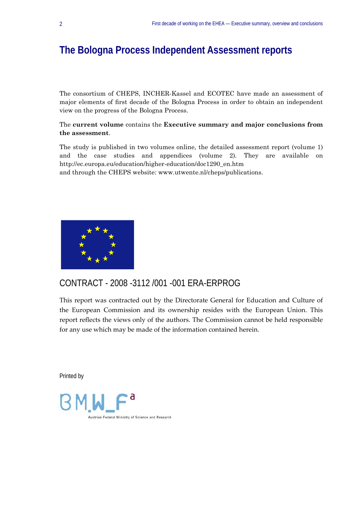## **The Bologna Process Independent Assessment reports**

The consortium of CHEPS, INCHER-Kassel and ECOTEC have made an assessment of major elements of first decade of the Bologna Process in order to obtain an independent view on the progress of the Bologna Process.

The **current volume** contains the **Executive summary and major conclusions from the assessment**.

The study is published in two volumes online, the detailed assessment report (volume 1) and the case studies and appendices (volume 2). They are available on [http://ec.europa.eu/education/higher-education/doc1290\\_en.htm](http://ec.europa.eu/education/higher-education/doc1290_en.htm)  and through the CHEPS website: www.utwente.nl/cheps/publications.



## CONTRACT - 2008 -3112 /001 -001 ERA-ERPROG

This report was contracted out by the Directorate General for Education and Culture of the European Commission and its ownership resides with the European Union. This report reflects the views only of the authors. The Commission cannot be held responsible for any use which may be made of the information contained herein.

Printed by

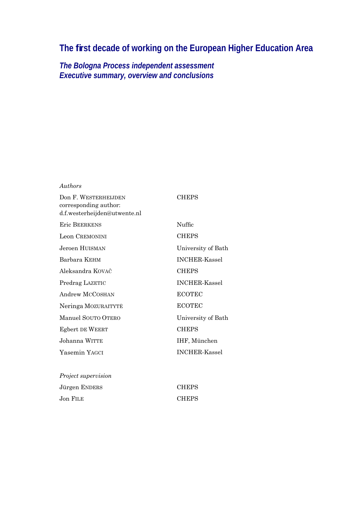### **The first decade of working on the European Higher Education Area**

*The Bologna Process independent assessment Executive summary, overview and conclusions* 

#### *Authors*

Don F. WESTERHEIJDEN corresponding author: d.f.westerheijden@utwente.nl **CHEPS Eric BEERKENS** Nuffic Leon CREMONINI CHEPS Jeroen HUISMAN University of Bath Barbara KEHM **INCHER-Kassel** Aleksandra KOVAČ CHEPS Predrag LAZETIC INCHER-Kassel Andrew MCCOSHAN ECOTEC Neringa MOZURAITYTĖ ECOTEC Manuel SOUTO OTERO University of Bath Egbert DE WEERT CHEPS Johanna WITTE IHF, München Yasemin YAGCI INCHER-Kassel *Project supervision* 

| Jürgen ENDERS | <b>CHEPS</b> |
|---------------|--------------|
| Jon FILE      | <b>CHEPS</b> |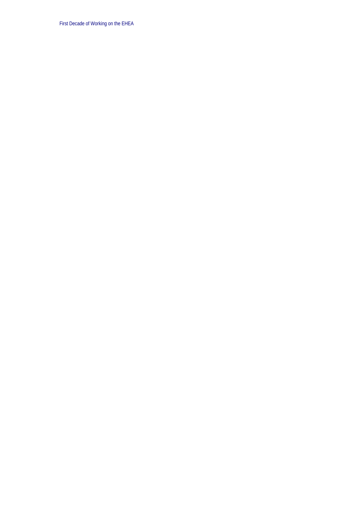First Decade of Working on the EHEA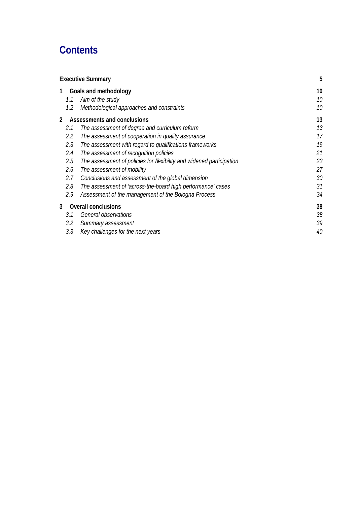## **Contents**

|                | <b>Executive Summary</b>                                             | 5  |
|----------------|----------------------------------------------------------------------|----|
|                | Goals and methodology                                                | 10 |
| 1.1            | Aim of the study                                                     | 10 |
| 1.2            | Methodological approaches and constraints                            | 10 |
| $\mathfrak{p}$ | Assessments and conclusions                                          | 13 |
| 2.1            | The assessment of degree and curriculum reform                       | 13 |
| 2.2            | The assessment of cooperation in quality assurance                   | 17 |
| 2.3            | The assessment with regard to qualifications frameworks              | 19 |
| 2.4            | The assessment of recognition policies                               | 21 |
| 2.5            | The assessment of policies for flexibility and widened participation | 23 |
| 2.6            | The assessment of mobility                                           | 27 |
| 2.7            | Conclusions and assessment of the global dimension                   | 30 |
| 2.8            | The assessment of 'across-the-board high performance' cases          | 31 |
| 2.9            | Assessment of the management of the Bologna Process                  | 34 |
| 3              | <b>Overall conclusions</b>                                           | 38 |
| 3.1            | General observations                                                 | 38 |
| 3.2            | Summary assessment                                                   | 39 |
| 3.3            | Key challenges for the next years                                    | 40 |
|                |                                                                      |    |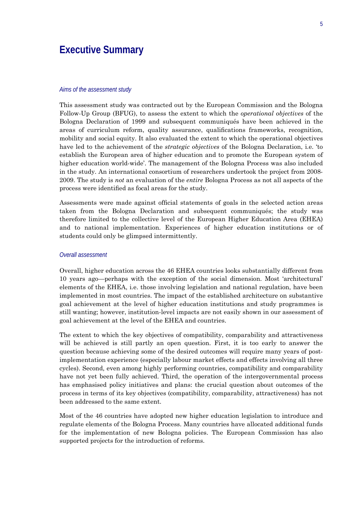## <span id="page-6-0"></span>**Executive Summary**

#### *Aims of the assessment study*

This assessment study was contracted out by the European Commission and the Bologna Follow-Up Group (BFUG), to assess the extent to which the *operational objectives* of the Bologna Declaration of 1999 and subsequent communiqués have been achieved in the areas of curriculum reform, quality assurance, qualifications frameworks, recognition, mobility and social equity. It also evaluated the extent to which the operational objectives have led to the achievement of the *strategic objectives* of the Bologna Declaration, i.e. 'to establish the European area of higher education and to promote the European system of higher education world-wide'. The management of the Bologna Process was also included in the study. An international consortium of researchers undertook the project from 2008- 2009. The study is *not* an evaluation of the *entire* Bologna Process as not all aspects of the process were identified as focal areas for the study.

Assessments were made against official statements of goals in the selected action areas taken from the Bologna Declaration and subsequent communiqués; the study was therefore limited to the collective level of the European Higher Education Area (EHEA) and to national implementation. Experiences of higher education institutions or of students could only be glimpsed intermittently.

#### *Overall assessment*

Overall, higher education across the 46 EHEA countries looks substantially different from 10 years ago—perhaps with the exception of the social dimension. Most 'architectural' elements of the EHEA, i.e. those involving legislation and national regulation, have been implemented in most countries. The impact of the established architecture on substantive goal achievement at the level of higher education institutions and study programmes is still wanting; however, institution-level impacts are not easily shown in our assessment of goal achievement at the level of the EHEA and countries.

The extent to which the key objectives of compatibility, comparability and attractiveness will be achieved is still partly an open question. First, it is too early to answer the question because achieving some of the desired outcomes will require many years of postimplementation experience (especially labour market effects and effects involving all three cycles). Second, even among highly performing countries, compatibility and comparability have not yet been fully achieved. Third, the operation of the intergovernmental process has emphasised policy initiatives and plans: the crucial question about outcomes of the process in terms of its key objectives (compatibility, comparability, attractiveness) has not been addressed to the same extent.

Most of the 46 countries have adopted new higher education legislation to introduce and regulate elements of the Bologna Process. Many countries have allocated additional funds for the implementation of new Bologna policies. The European Commission has also supported projects for the introduction of reforms.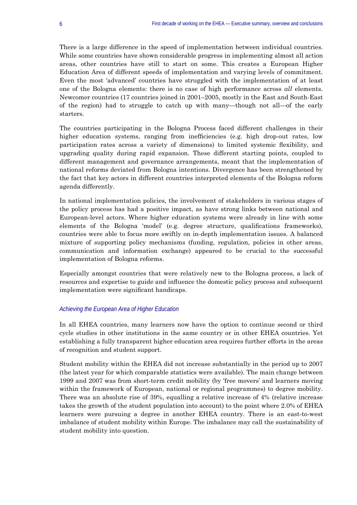There is a large difference in the speed of implementation between individual countries. While some countries have shown considerable progress in implementing almost all action areas, other countries have still to start on some. This creates a European Higher Education Area of different speeds of implementation and varying levels of commitment. Even the most 'advanced' countries have struggled with the implementation of at least one of the Bologna elements: there is no case of high performance across *all* elements. Newcomer countries (17 countries joined in 2001–2005, mostly in the East and South-East of the region) had to struggle to catch up with many—though not all—of the early starters.

The countries participating in the Bologna Process faced different challenges in their higher education systems, ranging from inefficiencies (e.g. high drop-out rates, low participation rates across a variety of dimensions) to limited systemic flexibility, and upgrading quality during rapid expansion. These different starting points, coupled to different management and governance arrangements, meant that the implementation of national reforms deviated from Bologna intentions. Divergence has been strengthened by the fact that key actors in different countries interpreted elements of the Bologna reform agenda differently.

In national implementation policies, the involvement of stakeholders in various stages of the policy process has had a positive impact, as have strong links between national and European-level actors. Where higher education systems were already in line with some elements of the Bologna 'model' (e.g. degree structure, qualifications frameworks), countries were able to focus more swiftly on in-depth implementation issues. A balanced mixture of supporting policy mechanisms (funding, regulation, policies in other areas, communication and information exchange) appeared to be crucial to the successful implementation of Bologna reforms.

Especially amongst countries that were relatively new to the Bologna process, a lack of resources and expertise to guide and influence the domestic policy process and subsequent implementation were significant handicaps.

#### *Achieving the European Area of Higher Education*

In all EHEA countries, many learners now have the option to continue second or third cycle studies in other institutions in the same country or in other EHEA countries. Yet establishing a fully transparent higher education area requires further efforts in the areas of recognition and student support.

Student mobility within the EHEA did not increase substantially in the period up to 2007 (the latest year for which comparable statistics were available). The main change between 1999 and 2007 was from short-term credit mobility (by 'free movers' and learners moving within the framework of European, national or regional programmes) to degree mobility. There was an absolute rise of 39%, equalling a relative increase of 4% (relative increase takes the growth of the student population into account) to the point where 2.0% of EHEA learners were pursuing a degree in another EHEA country. There is an east-to-west imbalance of student mobility within Europe. The imbalance may call the sustainability of student mobility into question.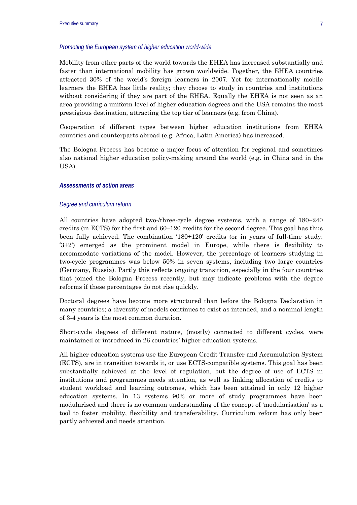#### *Promoting the European system of higher education world-wide*

Mobility from other parts of the world towards the EHEA has increased substantially and faster than international mobility has grown worldwide. Together, the EHEA countries attracted 30% of the world's foreign learners in 2007. Yet for internationally mobile learners the EHEA has little reality; they choose to study in countries and institutions without considering if they are part of the EHEA. Equally the EHEA is not seen as an area providing a uniform level of higher education degrees and the USA remains the most prestigious destination, attracting the top tier of learners (e.g. from China).

Cooperation of different types between higher education institutions from EHEA countries and counterparts abroad (e.g. Africa, Latin America) has increased.

The Bologna Process has become a major focus of attention for regional and sometimes also national higher education policy-making around the world (e.g. in China and in the USA).

#### *Assessments of action areas*

#### *Degree and curriculum reform*

All countries have adopted two-/three-cycle degree systems, with a range of 180–240 credits (in ECTS) for the first and 60–120 credits for the second degree. This goal has thus been fully achieved. The combination '180+120' credits (or in years of full-time study: '3+2') emerged as the prominent model in Europe, while there is flexibility to accommodate variations of the model. However, the percentage of learners studying in two-cycle programmes was below 50% in seven systems, including two large countries (Germany, Russia). Partly this reflects ongoing transition, especially in the four countries that joined the Bologna Process recently, but may indicate problems with the degree reforms if these percentages do not rise quickly.

Doctoral degrees have become more structured than before the Bologna Declaration in many countries; a diversity of models continues to exist as intended, and a nominal length of 3-4 years is the most common duration.

Short-cycle degrees of different nature, (mostly) connected to different cycles, were maintained or introduced in 26 countries' higher education systems.

All higher education systems use the European Credit Transfer and Accumulation System (ECTS), are in transition towards it, or use ECTS-compatible systems. This goal has been substantially achieved at the level of regulation, but the degree of use of ECTS in institutions and programmes needs attention, as well as linking allocation of credits to student workload and learning outcomes, which has been attained in only 12 higher education systems. In 13 systems 90% or more of study programmes have been modularised and there is no common understanding of the concept of 'modularisation' as a tool to foster mobility, flexibility and transferability. Curriculum reform has only been partly achieved and needs attention.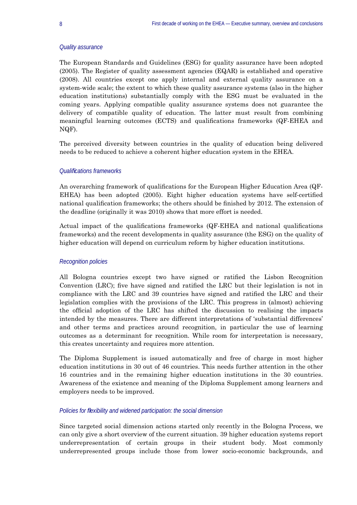#### *Quality assurance*

The European Standards and Guidelines (ESG) for quality assurance have been adopted (2005). The Register of quality assessment agencies (EQAR) is established and operative (2008). All countries except one apply internal and external quality assurance on a system-wide scale; the extent to which these quality assurance systems (also in the higher education institutions) substantially comply with the ESG must be evaluated in the coming years. Applying compatible quality assurance systems does not guarantee the delivery of compatible quality of education. The latter must result from combining meaningful learning outcomes (ECTS) and qualifications frameworks (QF-EHEA and NQF).

The perceived diversity between countries in the quality of education being delivered needs to be reduced to achieve a coherent higher education system in the EHEA.

#### *Qualifications frameworks*

An overarching framework of qualifications for the European Higher Education Area (QF-EHEA) has been adopted (2005). Eight higher education systems have self-certified national qualification frameworks; the others should be finished by 2012. The extension of the deadline (originally it was 2010) shows that more effort is needed.

Actual impact of the qualifications frameworks (QF-EHEA and national qualifications frameworks) and the recent developments in quality assurance (the ESG) on the quality of higher education will depend on curriculum reform by higher education institutions.

#### *Recognition policies*

All Bologna countries except two have signed or ratified the Lisbon Recognition Convention (LRC); five have signed and ratified the LRC but their legislation is not in compliance with the LRC and 39 countries have signed and ratified the LRC and their legislation complies with the provisions of the LRC. This progress in (almost) achieving the official adoption of the LRC has shifted the discussion to realising the impacts intended by the measures. There are different interpretations of 'substantial differences' and other terms and practices around recognition, in particular the use of learning outcomes as a determinant for recognition. While room for interpretation is necessary, this creates uncertainty and requires more attention.

The Diploma Supplement is issued automatically and free of charge in most higher education institutions in 30 out of 46 countries. This needs further attention in the other 16 countries and in the remaining higher education institutions in the 30 countries. Awareness of the existence and meaning of the Diploma Supplement among learners and employers needs to be improved.

#### *Policies for flexibility and widened participation: the social dimension*

Since targeted social dimension actions started only recently in the Bologna Process, we can only give a short overview of the current situation. 39 higher education systems report underrepresentation of certain groups in their student body. Most commonly underrepresented groups include those from lower socio-economic backgrounds, and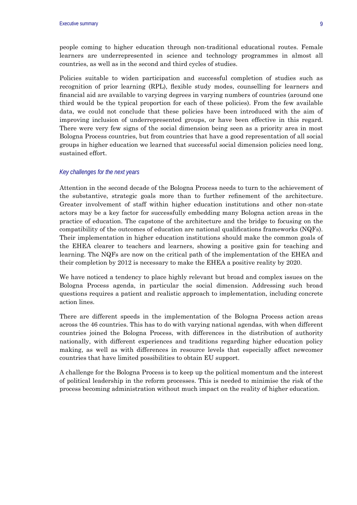people coming to higher education through non-traditional educational routes. Female learners are underrepresented in science and technology programmes in almost all countries, as well as in the second and third cycles of studies.

Policies suitable to widen participation and successful completion of studies such as recognition of prior learning (RPL), flexible study modes, counselling for learners and financial aid are available to varying degrees in varying numbers of countries (around one third would be the typical proportion for each of these policies). From the few available data, we could not conclude that these policies have been introduced with the aim of improving inclusion of underrepresented groups, or have been effective in this regard. There were very few signs of the social dimension being seen as a priority area in most Bologna Process countries, but from countries that have a good representation of all social groups in higher education we learned that successful social dimension policies need long, sustained effort.

#### *Key challenges for the next years*

Attention in the second decade of the Bologna Process needs to turn to the achievement of the substantive, strategic goals more than to further refinement of the architecture. Greater involvement of staff within higher education institutions and other non-state actors may be a key factor for successfully embedding many Bologna action areas in the practice of education. The capstone of the architecture and the bridge to focusing on the compatibility of the outcomes of education are national qualifications frameworks (NQFs). Their implementation in higher education institutions should make the common goals of the EHEA clearer to teachers and learners, showing a positive gain for teaching and learning. The NQFs are now on the critical path of the implementation of the EHEA and their completion by 2012 is necessary to make the EHEA a positive reality by 2020.

We have noticed a tendency to place highly relevant but broad and complex issues on the Bologna Process agenda, in particular the social dimension. Addressing such broad questions requires a patient and realistic approach to implementation, including concrete action lines.

There are different speeds in the implementation of the Bologna Process action areas across the 46 countries. This has to do with varying national agendas, with when different countries joined the Bologna Process, with differences in the distribution of authority nationally, with different experiences and traditions regarding higher education policy making, as well as with differences in resource levels that especially affect newcomer countries that have limited possibilities to obtain EU support.

A challenge for the Bologna Process is to keep up the political momentum and the interest of political leadership in the reform processes. This is needed to minimise the risk of the process becoming administration without much impact on the reality of higher education.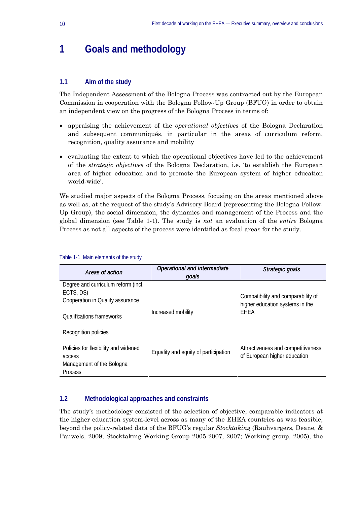## <span id="page-11-0"></span>**1 Goals and methodology**

#### **1.1 Aim of the study**

<span id="page-11-1"></span>The Independent Assessment of the Bologna Process was contracted out by the European Commission in cooperation with the Bologna Follow-Up Group (BFUG) in order to obtain an independent view on the progress of the Bologna Process in terms of:

- appraising the achievement of the *operational objectives* of the Bologna Declaration and subsequent communiqués, in particular in the areas of curriculum reform, recognition, quality assurance and mobility
- evaluating the extent to which the operational objectives have led to the achievement of the *strategic objectives* of the Bologna Declaration, i.e. 'to establish the European area of higher education and to promote the European system of higher education world-wide'.

We studied major aspects of the Bologna Process, focusing on the areas mentioned above as well as, at the request of the study's Advisory Board (representing the Bologna Follow-Up Group), the social dimension, the dynamics and management of the Process and the global dimension (see [Table 1-](#page-11-3)1). The study is *not* an evaluation of the *entire* Bologna Process as not all aspects of the process were identified as focal areas for the study.

| Areas of action                                                                        | <b>Operational and intermediate</b><br>goals | Strategic goals                                                       |
|----------------------------------------------------------------------------------------|----------------------------------------------|-----------------------------------------------------------------------|
| Degree and curriculum reform (incl.<br>ECTS, DS)<br>Cooperation in Quality assurance   |                                              | Compatibility and comparability of<br>higher education systems in the |
| <b>Oualifications frameworks</b>                                                       | Increased mobility                           | EHEA                                                                  |
| Recognition policies                                                                   |                                              |                                                                       |
| Policies for flexibility and widened<br>access<br>Management of the Bologna<br>Process | Equality and equity of participation         | Attractiveness and competitiveness<br>of European higher education    |

#### <span id="page-11-3"></span>Table 1-1 Main elements of the study

#### <span id="page-11-2"></span>**1.2 Methodological approaches and constraints**

The study's methodology consisted of the selection of objective, comparable indicators at the higher education system-level across as many of the EHEA countries as was feasible, beyond the policy-related data of the BFUG's regular *Stocktaking* (Rauhvargers, Deane, & Pauwels, 2009; Stocktaking Working Group 2005-2007, 2007; Working group, 2005), the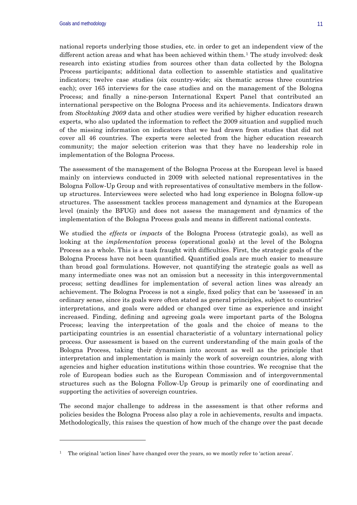$\overline{a}$ 

national reports underlying those studies, etc. in order to get an independent view of the different action areas and what has been achieved within them.<sup>[1](#page-12-0)</sup> The study involved: desk research into existing studies from sources other than data collected by the Bologna Process participants; additional data collection to assemble statistics and qualitative indicators; twelve case studies (six country-wide; six thematic across three countries each); over 165 interviews for the case studies and on the management of the Bologna Process; and finally a nine-person International Expert Panel that contributed an international perspective on the Bologna Process and its achievements. Indicators drawn from *Stocktaking 2009* data and other studies were verified by higher education research experts, who also updated the information to reflect the 2009 situation and supplied much of the missing information on indicators that we had drawn from studies that did not cover all 46 countries. The experts were selected from the higher education research community; the major selection criterion was that they have no leadership role in implementation of the Bologna Process.

The assessment of the management of the Bologna Process at the European level is based mainly on interviews conducted in 2009 with selected national representatives in the Bologna Follow-Up Group and with representatives of consultative members in the followup structures. Interviewees were selected who had long experience in Bologna follow-up structures. The assessment tackles process management and dynamics at the European level (mainly the BFUG) and does not assess the management and dynamics of the implementation of the Bologna Process goals and means in different national contexts.

We studied the *effects* or *impacts* of the Bologna Process (strategic goals), as well as looking at the *implementation* process (operational goals) at the level of the Bologna Process as a whole. This is a task fraught with difficulties. First, the strategic goals of the Bologna Process have not been quantified. Quantified goals are much easier to measure than broad goal formulations. However, not quantifying the strategic goals as well as many intermediate ones was not an omission but a necessity in this intergovernmental process; setting deadlines for implementation of several action lines was already an achievement. The Bologna Process is not a single, fixed policy that can be 'assessed' in an ordinary sense, since its goals were often stated as general principles, subject to countries' interpretations, and goals were added or changed over time as experience and insight increased. Finding, defining and agreeing goals were important parts of the Bologna Process; leaving the interpretation of the goals and the choice of means to the participating countries is an essential characteristic of a voluntary international policy process. Our assessment is based on the current understanding of the main goals of the Bologna Process, taking their dynamism into account as well as the principle that interpretation and implementation is mainly the work of sovereign countries, along with agencies and higher education institutions within those countries. We recognise that the role of European bodies such as the European Commission and of intergovernmental structures such as the Bologna Follow-Up Group is primarily one of coordinating and supporting the activities of sovereign countries.

The second major challenge to address in the assessment is that other reforms and policies besides the Bologna Process also play a role in achievements, results and impacts. Methodologically, this raises the question of how much of the change over the past decade

<span id="page-12-0"></span><sup>&</sup>lt;sup>1</sup> The original 'action lines' have changed over the years, so we mostly refer to 'action areas'.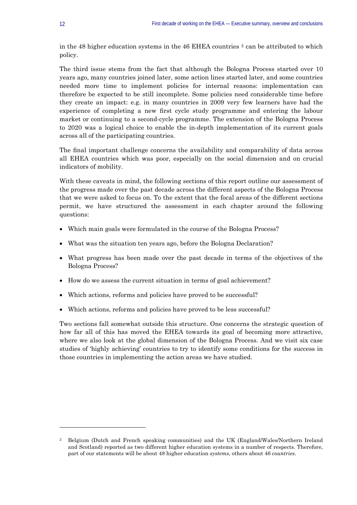in the 48 higher education systems in the 46 EHEA countries  $2$  can be attributed to which policy.

The third issue stems from the fact that although the Bologna Process started over 10 years ago, many countries joined later, some action lines started later, and some countries needed more time to implement policies for internal reasons: implementation can therefore be expected to be still incomplete. Some policies need considerable time before they create an impact: e.g. in many countries in 2009 very few learners have had the experience of completing a new first cycle study programme and entering the labour market or continuing to a second-cycle programme. The extension of the Bologna Process to 2020 was a logical choice to enable the in-depth implementation of its current goals across all of the participating countries.

The final important challenge concerns the availability and comparability of data across all EHEA countries which was poor, especially on the social dimension and on crucial indicators of mobility.

With these caveats in mind, the following sections of this report outline our assessment of the progress made over the past decade across the different aspects of the Bologna Process that we were asked to focus on. To the extent that the focal areas of the different sections permit, we have structured the assessment in each chapter around the following questions:

- Which main goals were formulated in the course of the Bologna Process?
- What was the situation ten years ago, before the Bologna Declaration?
- What progress has been made over the past decade in terms of the objectives of the Bologna Process?
- How do we assess the current situation in terms of goal achievement?
- Which actions, reforms and policies have proved to be successful?
- Which actions, reforms and policies have proved to be less successful?

Two sections fall somewhat outside this structure. One concerns the strategic question of how far all of this has moved the EHEA towards its goal of becoming more attractive, where we also look at the global dimension of the Bologna Process. And we visit six case studies of 'highly achieving' countries to try to identify some conditions for the success in those countries in implementing the action areas we have studied.

 $\overline{a}$ 

<span id="page-13-0"></span><sup>&</sup>lt;sup>2</sup> Belgium (Dutch and French speaking communities) and the UK (England/Wales/Northern Ireland and Scotland) reported as two different higher education systems in a number of respects. Therefore, part of our statements will be about 48 higher education *systems*, others about 46 *countries*.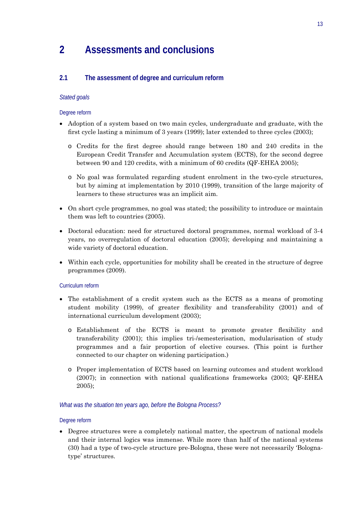## <span id="page-14-0"></span>**2 Assessments and conclusions**

#### <span id="page-14-1"></span>**2.1 The assessment of degree and curriculum reform**

#### *Stated goals*

#### Degree reform

- Adoption of a system based on two main cycles, undergraduate and graduate, with the first cycle lasting a minimum of 3 years (1999); later extended to three cycles (2003);
	- o Credits for the first degree should range between 180 and 240 credits in the European Credit Transfer and Accumulation system (ECTS), for the second degree between 90 and 120 credits, with a minimum of 60 credits (QF-EHEA 2005);
	- o No goal was formulated regarding student enrolment in the two-cycle structures, but by aiming at implementation by 2010 (1999), transition of the large majority of learners to these structures was an implicit aim.
- On short cycle programmes, no goal was stated; the possibility to introduce or maintain them was left to countries (2005).
- Doctoral education: need for structured doctoral programmes, normal workload of 3-4 years, no overregulation of doctoral education (2005); developing and maintaining a wide variety of doctoral education.
- Within each cycle, opportunities for mobility shall be created in the structure of degree programmes (2009).

#### Curriculum reform

- The establishment of a credit system such as the ECTS as a means of promoting student mobility (1999), of greater flexibility and transferability (2001) and of international curriculum development (2003);
	- o Establishment of the ECTS is meant to promote greater flexibility and transferability (2001); this implies tri-/semesterisation, modularisation of study programmes and a fair proportion of elective courses. (This point is further connected to our chapter on widening participation.)
	- o Proper implementation of ECTS based on learning outcomes and student workload (2007); in connection with national qualifications frameworks (2003; QF-EHEA 2005);

#### *What was the situation ten years ago, before the Bologna Process?*

#### Degree reform

 Degree structures were a completely national matter, the spectrum of national models and their internal logics was immense. While more than half of the national systems (30) had a type of two-cycle structure pre-Bologna, these were not necessarily 'Bolognatype' structures.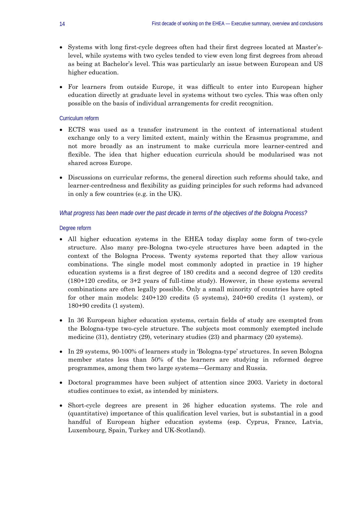- Systems with long first-cycle degrees often had their first degrees located at Master'slevel, while systems with two cycles tended to view even long first degrees from abroad as being at Bachelor's level. This was particularly an issue between European and US higher education.
- For learners from outside Europe, it was difficult to enter into European higher education directly at graduate level in systems without two cycles. This was often only possible on the basis of individual arrangements for credit recognition.

#### Curriculum reform

- ECTS was used as a transfer instrument in the context of international student exchange only to a very limited extent, mainly within the Erasmus programme, and not more broadly as an instrument to make curricula more learner-centred and flexible. The idea that higher education curricula should be modularised was not shared across Europe.
- Discussions on curricular reforms, the general direction such reforms should take, and learner-centredness and flexibility as guiding principles for such reforms had advanced in only a few countries (e.g. in the UK).

#### *What progress has been made over the past decade in terms of the objectives of the Bologna Process?*

#### Degree reform

- All higher education systems in the EHEA today display some form of two-cycle structure. Also many pre-Bologna two-cycle structures have been adapted in the context of the Bologna Process. Twenty systems reported that they allow various combinations. The single model most commonly adopted in practice in 19 higher education systems is a first degree of 180 credits and a second degree of 120 credits (180+120 credits, or 3+2 years of full-time study). However, in these systems several combinations are often legally possible. Only a small minority of countries have opted for other main models: 240+120 credits (5 systems), 240+60 credits (1 system), or 180+90 credits (1 system).
- In 36 European higher education systems, certain fields of study are exempted from the Bologna-type two-cycle structure. The subjects most commonly exempted include medicine (31), dentistry (29), veterinary studies (23) and pharmacy (20 systems).
- In 29 systems, 90-100% of learners study in 'Bologna-type' structures. In seven Bologna member states less than 50% of the learners are studying in reformed degree programmes, among them two large systems—Germany and Russia.
- Doctoral programmes have been subject of attention since 2003. Variety in doctoral studies continues to exist, as intended by ministers.
- Short-cycle degrees are present in 26 higher education systems. The role and (quantitative) importance of this qualification level varies, but is substantial in a good handful of European higher education systems (esp. Cyprus, France, Latvia, Luxembourg, Spain, Turkey and UK-Scotland).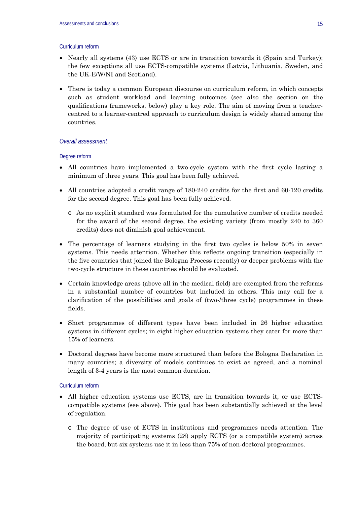#### Curriculum reform

- Nearly all systems (43) use ECTS or are in transition towards it (Spain and Turkey); the few exceptions all use ECTS-compatible systems (Latvia, Lithuania, Sweden, and the UK-E/W/NI and Scotland).
- There is today a common European discourse on curriculum reform, in which concepts such as student workload and learning outcomes (see also the section on the qualifications frameworks, below) play a key role. The aim of moving from a teachercentred to a learner-centred approach to curriculum design is widely shared among the countries.

#### *Overall assessment*

#### Degree reform

- All countries have implemented a two-cycle system with the first cycle lasting a minimum of three years. This goal has been fully achieved.
- All countries adopted a credit range of 180-240 credits for the first and 60-120 credits for the second degree. This goal has been fully achieved.
	- o As no explicit standard was formulated for the cumulative number of credits needed for the award of the second degree, the existing variety (from mostly 240 to 360 credits) does not diminish goal achievement.
- The percentage of learners studying in the first two cycles is below 50% in seven systems. This needs attention. Whether this reflects ongoing transition (especially in the five countries that joined the Bologna Process recently) or deeper problems with the two-cycle structure in these countries should be evaluated.
- Certain knowledge areas (above all in the medical field) are exempted from the reforms in a substantial number of countries but included in others. This may call for a clarification of the possibilities and goals of (two-/three cycle) programmes in these fields.
- Short programmes of different types have been included in 26 higher education systems in different cycles; in eight higher education systems they cater for more than 15% of learners.
- Doctoral degrees have become more structured than before the Bologna Declaration in many countries; a diversity of models continues to exist as agreed, and a nominal length of 3-4 years is the most common duration.

#### Curriculum reform

- All higher education systems use ECTS, are in transition towards it, or use ECTScompatible systems (see above). This goal has been substantially achieved at the level of regulation.
	- o The degree of use of ECTS in institutions and programmes needs attention. The majority of participating systems (28) apply ECTS (or a compatible system) across the board, but six systems use it in less than 75% of non-doctoral programmes.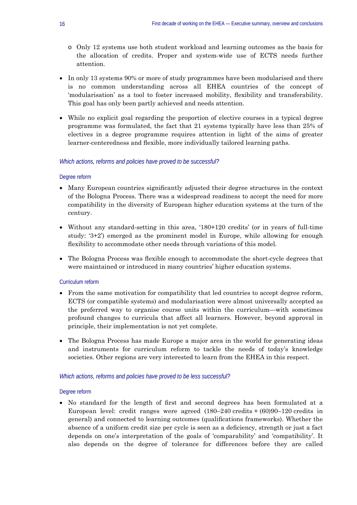- o Only 12 systems use both student workload and learning outcomes as the basis for the allocation of credits. Proper and system-wide use of ECTS needs further attention.
- In only 13 systems 90% or more of study programmes have been modularised and there is no common understanding across all EHEA countries of the concept of 'modularisation' as a tool to foster increased mobility, flexibility and transferability. This goal has only been partly achieved and needs attention.
- While no explicit goal regarding the proportion of elective courses in a typical degree programme was formulated, the fact that 21 systems typically have less than 25% of electives in a degree programme requires attention in light of the aims of greater learner-centeredness and flexible, more individually tailored learning paths.

#### *Which actions, reforms and policies have proved to be successful?*

#### Degree reform

- Many European countries significantly adjusted their degree structures in the context of the Bologna Process. There was a widespread readiness to accept the need for more compatibility in the diversity of European higher education systems at the turn of the century.
- Without any standard-setting in this area, '180+120 credits' (or in years of full-time study: '3+2') emerged as the prominent model in Europe, while allowing for enough flexibility to accommodate other needs through variations of this model.
- The Bologna Process was flexible enough to accommodate the short-cycle degrees that were maintained or introduced in many countries' higher education systems.

#### Curriculum reform

- From the same motivation for compatibility that led countries to accept degree reform, ECTS (or compatible systems) and modularisation were almost universally accepted as the preferred way to organise course units within the curriculum—with sometimes profound changes to curricula that affect all learners. However, beyond approval in principle, their implementation is not yet complete.
- The Bologna Process has made Europe a major area in the world for generating ideas and instruments for curriculum reform to tackle the needs of today's knowledge societies. Other regions are very interested to learn from the EHEA in this respect.

#### *Which actions, reforms and policies have proved to be less successful?*

#### Degree reform

 No standard for the length of first and second degrees has been formulated at a European level: credit ranges were agreed  $(180–240 \text{ credits} + (60)90–120 \text{ credits}$  in general) and connected to learning outcomes (qualifications frameworks). Whether the absence of a uniform credit size per cycle is seen as a deficiency, strength or just a fact depends on one's interpretation of the goals of 'comparability' and 'compatibility'. It also depends on the degree of tolerance for differences before they are called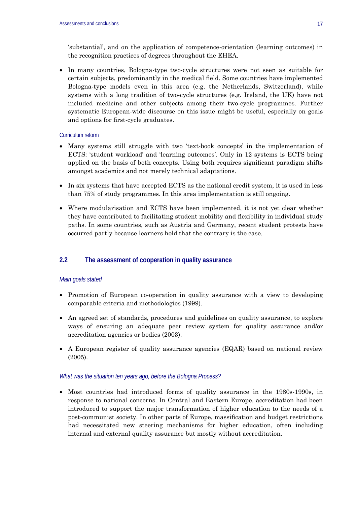'substantial', and on the application of competence-orientation (learning outcomes) in the recognition practices of degrees throughout the EHEA.

 In many countries, Bologna-type two-cycle structures were not seen as suitable for certain subjects, predominantly in the medical field. Some countries have implemented Bologna-type models even in this area (e.g. the Netherlands, Switzerland), while systems with a long tradition of two-cycle structures (e.g. Ireland, the UK) have not included medicine and other subjects among their two-cycle programmes. Further systematic European-wide discourse on this issue might be useful, especially on goals and options for first-cycle graduates.

#### Curriculum reform

- Many systems still struggle with two 'text-book concepts' in the implementation of ECTS: 'student workload' and 'learning outcomes'. Only in 12 systems is ECTS being applied on the basis of both concepts. Using both requires significant paradigm shifts amongst academics and not merely technical adaptations.
- In six systems that have accepted ECTS as the national credit system, it is used in less than 75% of study programmes. In this area implementation is still ongoing.
- Where modularisation and ECTS have been implemented, it is not yet clear whether they have contributed to facilitating student mobility and flexibility in individual study paths. In some countries, such as Austria and Germany, recent student protests have occurred partly because learners hold that the contrary is the case.

#### <span id="page-18-0"></span>**2.2 The assessment of cooperation in quality assurance**

#### *Main goals stated*

- Promotion of European co-operation in quality assurance with a view to developing comparable criteria and methodologies (1999).
- An agreed set of standards, procedures and guidelines on quality assurance, to explore ways of ensuring an adequate peer review system for quality assurance and/or accreditation agencies or bodies (2003).
- A European register of quality assurance agencies (EQAR) based on national review (2005).

#### *What was the situation ten years ago, before the Bologna Process?*

 Most countries had introduced forms of quality assurance in the 1980s-1990s, in response to national concerns. In Central and Eastern Europe, accreditation had been introduced to support the major transformation of higher education to the needs of a post-communist society. In other parts of Europe, massification and budget restrictions had necessitated new steering mechanisms for higher education, often including internal and external quality assurance but mostly without accreditation.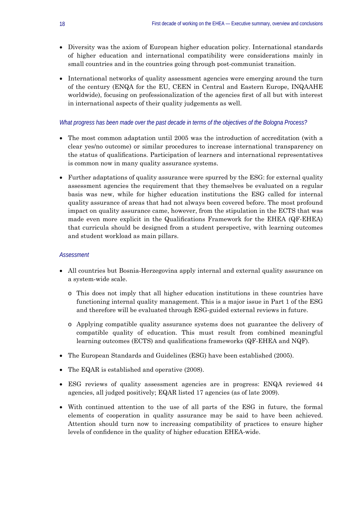- Diversity was the axiom of European higher education policy. International standards of higher education and international compatibility were considerations mainly in small countries and in the countries going through post-communist transition.
- International networks of quality assessment agencies were emerging around the turn of the century (ENQA for the EU, CEEN in Central and Eastern Europe, INQAAHE worldwide), focusing on professionalization of the agencies first of all but with interest in international aspects of their quality judgements as well.

#### *What progress has been made over the past decade in terms of the objectives of the Bologna Process?*

- The most common adaptation until 2005 was the introduction of accreditation (with a clear yes/no outcome) or similar procedures to increase international transparency on the status of qualifications. Participation of learners and international representatives is common now in many quality assurance systems.
- Further adaptations of quality assurance were spurred by the ESG: for external quality assessment agencies the requirement that they themselves be evaluated on a regular basis was new, while for higher education institutions the ESG called for internal quality assurance of areas that had not always been covered before. The most profound impact on quality assurance came, however, from the stipulation in the ECTS that was made even more explicit in the Qualifications Framework for the EHEA (QF-EHEA) that curricula should be designed from a student perspective, with learning outcomes and student workload as main pillars.

#### *Assessment*

- All countries but Bosnia-Herzegovina apply internal and external quality assurance on a system-wide scale.
	- o This does not imply that all higher education institutions in these countries have functioning internal quality management. This is a major issue in Part 1 of the ESG and therefore will be evaluated through ESG-guided external reviews in future.
	- o Applying compatible quality assurance systems does not guarantee the delivery of compatible quality of education. This must result from combined meaningful learning outcomes (ECTS) and qualifications frameworks (QF-EHEA and NQF).
- The European Standards and Guidelines (ESG) have been established (2005).
- The EQAR is established and operative (2008).
- ESG reviews of quality assessment agencies are in progress: ENQA reviewed 44 agencies, all judged positively; EQAR listed 17 agencies (as of late 2009).
- With continued attention to the use of all parts of the ESG in future, the formal elements of cooperation in quality assurance may be said to have been achieved. Attention should turn now to increasing compatibility of practices to ensure higher levels of confidence in the quality of higher education EHEA-wide.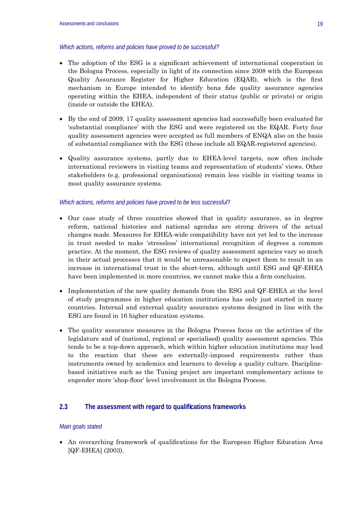#### *Which actions, reforms and policies have proved to be successful?*

- The adoption of the ESG is a significant achievement of international cooperation in the Bologna Process, especially in light of its connection since 2008 with the European Quality Assurance Register for Higher Education (EQAR), which is the first mechanism in Europe intended to identify bona fide quality assurance agencies operating within the EHEA, independent of their status (public or private) or origin (inside or outside the EHEA).
- By the end of 2009, 17 quality assessment agencies had successfully been evaluated for 'substantial compliance' with the ESG and were registered on the EQAR. Forty four quality assessment agencies were accepted as full members of ENQA also on the basis of substantial compliance with the ESG (these include all EQAR-registered agencies).
- Quality assurance systems, partly due to EHEA-level targets, now often include international reviewers in visiting teams and representation of students' views. Other stakeholders (e.g. professional organisations) remain less visible in visiting teams in most quality assurance systems.

#### *Which actions, reforms and policies have proved to be less successful?*

- Our case study of three countries showed that in quality assurance, as in degree reform, national histories and national agendas are strong drivers of the actual changes made. Measures for EHEA-wide compatibility have not yet led to the increase in trust needed to make 'stressless' international recognition of degrees a common practice. At the moment, the ESG reviews of quality assessment agencies vary so much in their actual processes that it would be unreasonable to expect them to result in an increase in international trust in the short-term, although until ESG and QF-EHEA have been implemented in more countries, we cannot make this a firm conclusion.
- Implementation of the new quality demands from the ESG and QF-EHEA at the level of study programmes in higher education institutions has only just started in many countries. Internal and external quality assurance systems designed in line with the ESG are found in 16 higher education systems.
- The quality assurance measures in the Bologna Process focus on the activities of the legislature and of (national, regional or specialised) quality assessment agencies. This tends to be a top-down approach, which within higher education institutions may lead to the reaction that these are externally-imposed requirements rather than instruments owned by academics and learners to develop a quality culture. Disciplinebased initiatives such as the Tuning project are important complementary actions to engender more 'shop-floor' level involvement in the Bologna Process.

#### <span id="page-20-0"></span>**2.3 The assessment with regard to qualifications frameworks**

#### *Main goals stated*

 An overarching framework of qualifications for the European Higher Education Area [QF-EHEA] (2003).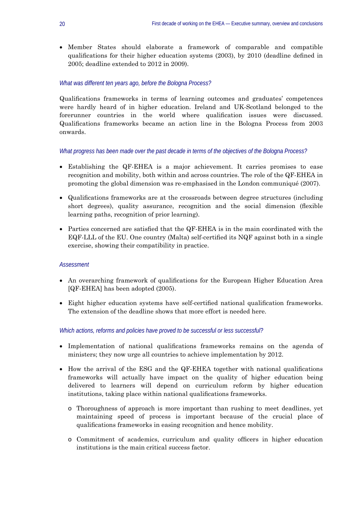Member States should elaborate a framework of comparable and compatible qualifications for their higher education systems (2003), by 2010 (deadline defined in 2005; deadline extended to 2012 in 2009).

#### *What was different ten years ago, before the Bologna Process?*

Qualifications frameworks in terms of learning outcomes and graduates' competences were hardly heard of in higher education. Ireland and UK-Scotland belonged to the forerunner countries in the world where qualification issues were discussed. Qualifications frameworks became an action line in the Bologna Process from 2003 onwards.

#### *What progress has been made over the past decade in terms of the objectives of the Bologna Process?*

- Establishing the QF-EHEA is a major achievement. It carries promises to ease recognition and mobility, both within and across countries. The role of the QF-EHEA in promoting the global dimension was re-emphasised in the London communiqué (2007).
- Qualifications frameworks are at the crossroads between degree structures (including short degrees), quality assurance, recognition and the social dimension (flexible learning paths, recognition of prior learning).
- Parties concerned are satisfied that the QF-EHEA is in the main coordinated with the EQF-LLL of the EU. One country (Malta) self-certified its NQF against both in a single exercise, showing their compatibility in practice.

#### *Assessment*

- An overarching framework of qualifications for the European Higher Education Area [QF-EHEA] has been adopted (2005).
- Eight higher education systems have self-certified national qualification frameworks. The extension of the deadline shows that more effort is needed here.

#### *Which actions, reforms and policies have proved to be successful or less successful?*

- Implementation of national qualifications frameworks remains on the agenda of ministers; they now urge all countries to achieve implementation by 2012.
- How the arrival of the ESG and the QF-EHEA together with national qualifications frameworks will actually have impact on the quality of higher education being delivered to learners will depend on curriculum reform by higher education institutions, taking place within national qualifications frameworks.
	- o Thoroughness of approach is more important than rushing to meet deadlines, yet maintaining speed of process is important because of the crucial place of qualifications frameworks in easing recognition and hence mobility.
	- o Commitment of academics, curriculum and quality officers in higher education institutions is the main critical success factor.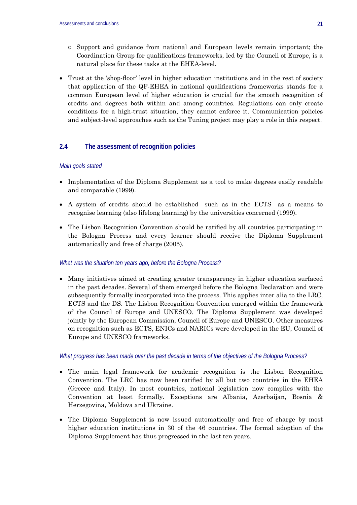- o Support and guidance from national and European levels remain important; the Coordination Group for qualifications frameworks, led by the Council of Europe, is a natural place for these tasks at the EHEA-level.
- Trust at the 'shop-floor' level in higher education institutions and in the rest of society that application of the QF-EHEA in national qualifications frameworks stands for a common European level of higher education is crucial for the smooth recognition of credits and degrees both within and among countries. Regulations can only create conditions for a high-trust situation, they cannot enforce it. Communication policies and subject-level approaches such as the Tuning project may play a role in this respect.

#### <span id="page-22-0"></span>**2.4 The assessment of recognition policies**

#### *Main goals stated*

- Implementation of the Diploma Supplement as a tool to make degrees easily readable and comparable (1999).
- A system of credits should be established—such as in the ECTS—as a means to recognise learning (also lifelong learning) by the universities concerned (1999).
- The Lisbon Recognition Convention should be ratified by all countries participating in the Bologna Process and every learner should receive the Diploma Supplement automatically and free of charge (2005).

#### *What was the situation ten years ago, before the Bologna Process?*

 Many initiatives aimed at creating greater transparency in higher education surfaced in the past decades. Several of them emerged before the Bologna Declaration and were subsequently formally incorporated into the process. This applies inter alia to the LRC, ECTS and the DS. The Lisbon Recognition Convention emerged within the framework of the Council of Europe and UNESCO. The Diploma Supplement was developed jointly by the European Commission, Council of Europe and UNESCO. Other measures on recognition such as ECTS, ENICs and NARICs were developed in the EU, Council of Europe and UNESCO frameworks.

#### *What progress has been made over the past decade in terms of the objectives of the Bologna Process?*

- The main legal framework for academic recognition is the Lisbon Recognition Convention. The LRC has now been ratified by all but two countries in the EHEA (Greece and Italy). In most countries, national legislation now complies with the Convention at least formally. Exceptions are Albania, Azerbaijan, Bosnia & Herzegovina, Moldova and Ukraine.
- The Diploma Supplement is now issued automatically and free of charge by most higher education institutions in 30 of the 46 countries. The formal adoption of the Diploma Supplement has thus progressed in the last ten years.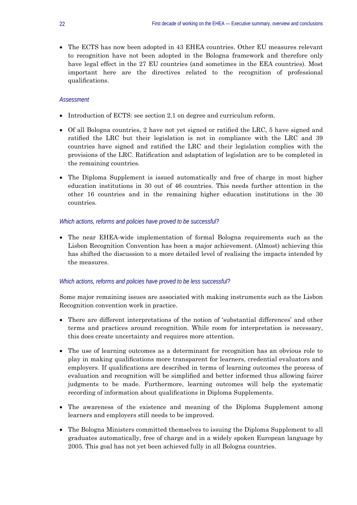The ECTS has now been adopted in 43 EHEA countries. Other EU measures relevant to recognition have not been adopted in the Bologna framework and therefore only have legal effect in the 27 EU countries (and sometimes in the EEA countries). Most important here are the directives related to the recognition of professional qualifications.

#### *Assessment*

- Introduction of ECTS: see section 2.1 on degree and curriculum reform.
- Of all Bologna countries, 2 have not yet signed or ratified the LRC, 5 have signed and ratified the LRC but their legislation is not in compliance with the LRC and 39 countries have signed and ratified the LRC and their legislation complies with the provisions of the LRC. Ratification and adaptation of legislation are to be completed in the remaining countries.
- The Diploma Supplement is issued automatically and free of charge in most higher education institutions in 30 out of 46 countries. This needs further attention in the other 16 countries and in the remaining higher education institutions in the 30 countries.

#### *Which actions, reforms and policies have proved to be successful?*

 The near EHEA-wide implementation of formal Bologna requirements such as the Lisbon Recognition Convention has been a major achievement. (Almost) achieving this has shifted the discussion to a more detailed level of realising the impacts intended by the measures.

#### *Which actions, reforms and policies have proved to be less successful?*

Some major remaining issues are associated with making instruments such as the Lisbon Recognition convention work in practice.

- There are different interpretations of the notion of 'substantial differences' and other terms and practices around recognition. While room for interpretation is necessary, this does create uncertainty and requires more attention.
- The use of learning outcomes as a determinant for recognition has an obvious role to play in making qualifications more transparent for learners, credential evaluators and employers. If qualifications are described in terms of learning outcomes the process of evaluation and recognition will be simplified and better informed thus allowing fairer judgments to be made. Furthermore, learning outcomes will help the systematic recording of information about qualifications in Diploma Supplements.
- The awareness of the existence and meaning of the Diploma Supplement among learners and employers still needs to be improved.
- The Bologna Ministers committed themselves to issuing the Diploma Supplement to all graduates automatically, free of charge and in a widely spoken European language by 2005. This goal has not yet been achieved fully in all Bologna countries.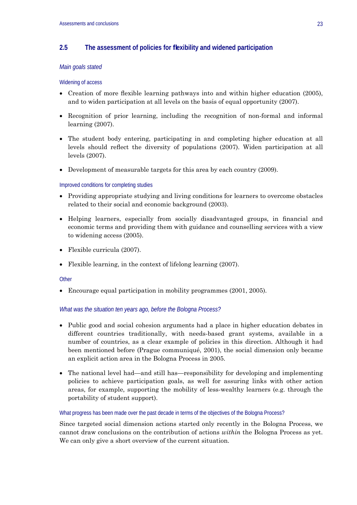#### <span id="page-24-0"></span>**2.5 The assessment of policies for flexibility and widened participation**

#### *Main goals stated*

#### Widening of access

- Creation of more flexible learning pathways into and within higher education (2005), and to widen participation at all levels on the basis of equal opportunity (2007).
- Recognition of prior learning, including the recognition of non-formal and informal learning (2007).
- The student body entering, participating in and completing higher education at all levels should reflect the diversity of populations (2007). Widen participation at all levels (2007).
- Development of measurable targets for this area by each country (2009).

Improved conditions for completing studies

- Providing appropriate studying and living conditions for learners to overcome obstacles related to their social and economic background (2003).
- Helping learners, especially from socially disadvantaged groups, in financial and economic terms and providing them with guidance and counselling services with a view to widening access (2005).
- Flexible curricula (2007).
- Flexible learning, in the context of lifelong learning (2007).

#### **Other**

Encourage equal participation in mobility programmes (2001, 2005).

#### *What was the situation ten years ago, before the Bologna Process?*

- Public good and social cohesion arguments had a place in higher education debates in different countries traditionally, with needs-based grant systems, available in a number of countries, as a clear example of policies in this direction. Although it had been mentioned before (Prague communiqué, 2001), the social dimension only became an explicit action area in the Bologna Process in 2005.
- The national level had—and still has—responsibility for developing and implementing policies to achieve participation goals, as well for assuring links with other action areas, for example, supporting the mobility of less-wealthy learners (e.g. through the portability of student support).

#### What progress has been made over the past decade in terms of the objectives of the Bologna Process?

Since targeted social dimension actions started only recently in the Bologna Process, we cannot draw conclusions on the contribution of actions *within* the Bologna Process as yet. We can only give a short overview of the current situation.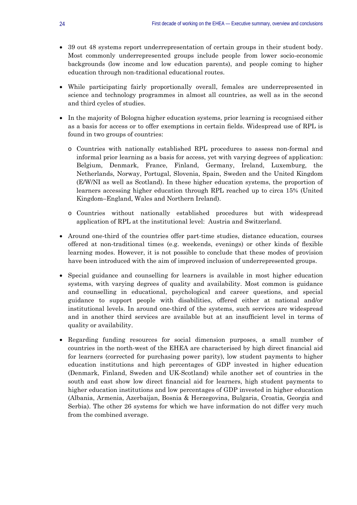- 39 out 48 systems report underrepresentation of certain groups in their student body. Most commonly underrepresented groups include people from lower socio-economic backgrounds (low income and low education parents), and people coming to higher education through non-traditional educational routes.
- While participating fairly proportionally overall, females are underrepresented in science and technology programmes in almost all countries, as well as in the second and third cycles of studies.
- In the majority of Bologna higher education systems, prior learning is recognised either as a basis for access or to offer exemptions in certain fields. Widespread use of RPL is found in two groups of countries:
	- o Countries with nationally established RPL procedures to assess non-formal and informal prior learning as a basis for access, yet with varying degrees of application: Belgium, Denmark, France, Finland, Germany, Ireland, Luxemburg, the Netherlands, Norway, Portugal, Slovenia, Spain, Sweden and the United Kingdom (E/W/NI as well as Scotland). In these higher education systems, the proportion of learners accessing higher education through RPL reached up to circa 15% (United Kingdom–England, Wales and Northern Ireland).
	- o Countries without nationally established procedures but with widespread application of RPL at the institutional level: Austria and Switzerland.
- Around one-third of the countries offer part-time studies, distance education, courses offered at non-traditional times (e.g. weekends, evenings) or other kinds of flexible learning modes. However, it is not possible to conclude that these modes of provision have been introduced with the aim of improved inclusion of underrepresented groups.
- Special guidance and counselling for learners is available in most higher education systems, with varying degrees of quality and availability. Most common is guidance and counselling in educational, psychological and career questions, and special guidance to support people with disabilities, offered either at national and/or institutional levels. In around one-third of the systems, such services are widespread and in another third services are available but at an insufficient level in terms of quality or availability.
- Regarding funding resources for social dimension purposes, a small number of countries in the north-west of the EHEA are characterised by high direct financial aid for learners (corrected for purchasing power parity), low student payments to higher education institutions and high percentages of GDP invested in higher education (Denmark, Finland, Sweden and UK-Scotland) while another set of countries in the south and east show low direct financial aid for learners, high student payments to higher education institutions and low percentages of GDP invested in higher education (Albania, Armenia, Azerbaijan, Bosnia & Herzegovina, Bulgaria, Croatia, Georgia and Serbia). The other 26 systems for which we have information do not differ very much from the combined average.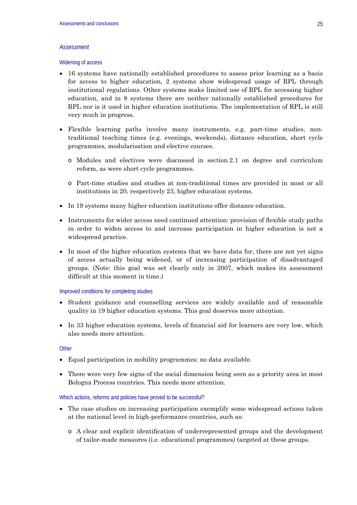#### *Assessment*

#### Widening of access

- 16 systems have nationally established procedures to assess prior learning as a basis for access to higher education, 2 systems show widespread usage of RPL through institutional regulations. Other systems make limited use of RPL for accessing higher education, and in 8 systems there are neither nationally established procedures for RPL nor is it used in higher education institutions. The implementation of RPL is still very much in progress.
- Flexible learning paths involve many instruments, e.g. part-time studies, nontraditional teaching times (e.g. evenings, weekends), distance education, short cycle programmes, modularisation and elective courses.
	- o Modules and electives were discussed in section 2.1 on degree and curriculum reform, as were short cycle programmes.
	- o Part-time studies and studies at non-traditional times are provided in most or all institutions in 20, respectively 23, higher education systems.
- In 19 systems many higher education institutions offer distance education.
- Instruments for wider access need continued attention: provision of flexible study paths in order to widen access to and increase participation in higher education is not a widespread practice.
- In most of the higher education systems that we have data for, there are not yet signs of access actually being widened, or of increasing participation of disadvantaged groups. (Note: this goal was set clearly only in 2007, which makes its assessment difficult at this moment in time.)

Improved conditions for completing studies

- Student guidance and counselling services are widely available and of reasonable quality in 19 higher education systems. This goal deserves more attention.
- In 33 higher education systems, levels of financial aid for learners are very low, which also needs more attention.

#### **Other**

- Equal participation in mobility programmes: no data available.
- There were very few signs of the social dimension being seen as a priority area in most Bologna Process countries. This needs more attention.

#### Which actions, reforms and policies have proved to be successful?

- The case studies on increasing participation exemplify some widespread actions taken at the national level in high-performance countries, such as:
	- o A clear and explicit identification of underrepresented groups and the development of tailor-made measures (i.e. educational programmes) targeted at these groups.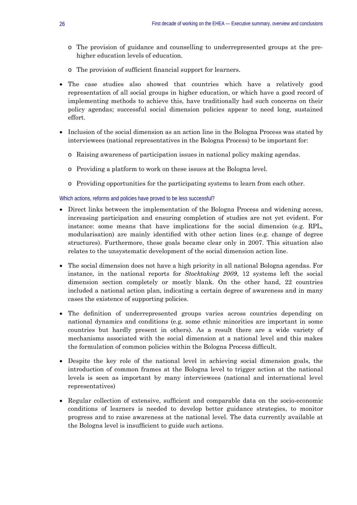- o The provision of guidance and counselling to underrepresented groups at the prehigher education levels of education.
- o The provision of sufficient financial support for learners.
- The case studies also showed that countries which have a relatively good representation of all social groups in higher education, or which have a good record of implementing methods to achieve this, have traditionally had such concerns on their policy agendas; successful social dimension policies appear to need long, sustained effort.
- Inclusion of the social dimension as an action line in the Bologna Process was stated by interviewees (national representatives in the Bologna Process) to be important for:
	- o Raising awareness of participation issues in national policy making agendas.
	- o Providing a platform to work on these issues at the Bologna level.
	- o Providing opportunities for the participating systems to learn from each other.

#### Which actions, reforms and policies have proved to be less successful?

- Direct links between the implementation of the Bologna Process and widening access, increasing participation and ensuring completion of studies are not yet evident. For instance: some means that have implications for the social dimension (e.g. RPL, modularisation) are mainly identified with other action lines (e.g. change of degree structures). Furthermore, these goals became clear only in 2007. This situation also relates to the unsystematic development of the social dimension action line.
- The social dimension does not have a high priority in all national Bologna agendas. For instance, in the national reports for *Stocktaking 2009*, 12 systems left the social dimension section completely or mostly blank. On the other hand, 22 countries included a national action plan, indicating a certain degree of awareness and in many cases the existence of supporting policies.
- The definition of underrepresented groups varies across countries depending on national dynamics and conditions (e.g. some ethnic minorities are important in some countries but hardly present in others). As a result there are a wide variety of mechanisms associated with the social dimension at a national level and this makes the formulation of common policies within the Bologna Process difficult.
- Despite the key role of the national level in achieving social dimension goals, the introduction of common frames at the Bologna level to trigger action at the national levels is seen as important by many interviewees (national and international level representatives)
- Regular collection of extensive, sufficient and comparable data on the socio-economic conditions of learners is needed to develop better guidance strategies, to monitor progress and to raise awareness at the national level. The data currently available at the Bologna level is insufficient to guide such actions.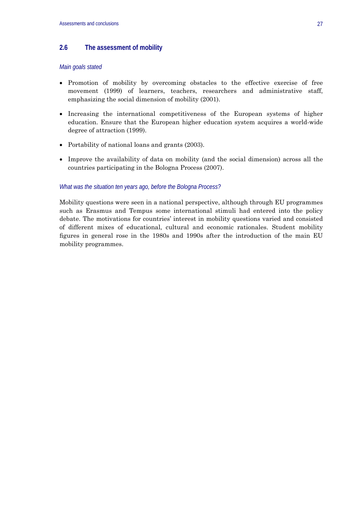#### <span id="page-28-0"></span>**2.6 The assessment of mobility**

#### *Main goals stated*

- Promotion of mobility by overcoming obstacles to the effective exercise of free movement (1999) of learners, teachers, researchers and administrative staff, emphasizing the social dimension of mobility (2001).
- Increasing the international competitiveness of the European systems of higher education. Ensure that the European higher education system acquires a world-wide degree of attraction (1999).
- Portability of national loans and grants (2003).
- Improve the availability of data on mobility (and the social dimension) across all the countries participating in the Bologna Process (2007).

#### *What was the situation ten years ago, before the Bologna Process?*

Mobility questions were seen in a national perspective, although through EU programmes such as Erasmus and Tempus some international stimuli had entered into the policy debate. The motivations for countries' interest in mobility questions varied and consisted of different mixes of educational, cultural and economic rationales. Student mobility figures in general rose in the 1980s and 1990s after the introduction of the main EU mobility programmes.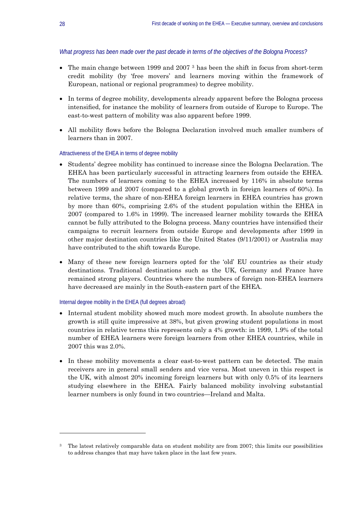#### *What progress has been made over the past decade in terms of the objectives of the Bologna Process?*

- The main change between 1999 and 2007<sup>[3](#page-29-0)</sup> has been the shift in focus from short-term credit mobility (by 'free movers' and learners moving within the framework of European, national or regional programmes) to degree mobility.
- In terms of degree mobility, developments already apparent before the Bologna process intensified, for instance the mobility of learners from outside of Europe to Europe. The east-to-west pattern of mobility was also apparent before 1999.
- All mobility flows before the Bologna Declaration involved much smaller numbers of learners than in 2007.

#### Attractiveness of the EHEA in terms of degree mobility

- Students' degree mobility has continued to increase since the Bologna Declaration. The EHEA has been particularly successful in attracting learners from outside the EHEA. The numbers of learners coming to the EHEA increased by 116% in absolute terms between 1999 and 2007 (compared to a global growth in foreign learners of 60%). In relative terms, the share of non-EHEA foreign learners in EHEA countries has grown by more than 60%, comprising 2.6% of the student population within the EHEA in 2007 (compared to 1.6% in 1999). The increased learner mobility towards the EHEA cannot be fully attributed to the Bologna process. Many countries have intensified their campaigns to recruit learners from outside Europe and developments after 1999 in other major destination countries like the United States (9/11/2001) or Australia may have contributed to the shift towards Europe.
- Many of these new foreign learners opted for the 'old' EU countries as their study destinations. Traditional destinations such as the UK, Germany and France have remained strong players. Countries where the numbers of foreign non-EHEA learners have decreased are mainly in the South-eastern part of the EHEA.

#### Internal degree mobility in the EHEA (full degrees abroad)

- Internal student mobility showed much more modest growth. In absolute numbers the growth is still quite impressive at 38%, but given growing student populations in most countries in relative terms this represents only a 4% growth: in 1999, 1.9% of the total number of EHEA learners were foreign learners from other EHEA countries, while in 2007 this was 2.0%.
- In these mobility movements a clear east-to-west pattern can be detected. The main receivers are in general small senders and vice versa. Most uneven in this respect is the UK, with almost 20% incoming foreign learners but with only 0.5% of its learners studying elsewhere in the EHEA. Fairly balanced mobility involving substantial learner numbers is only found in two countries—Ireland and Malta.

 $\overline{a}$ 

<span id="page-29-0"></span><sup>&</sup>lt;sup>3</sup> The latest relatively comparable data on student mobility are from 2007; this limits our possibilities to address changes that may have taken place in the last few years.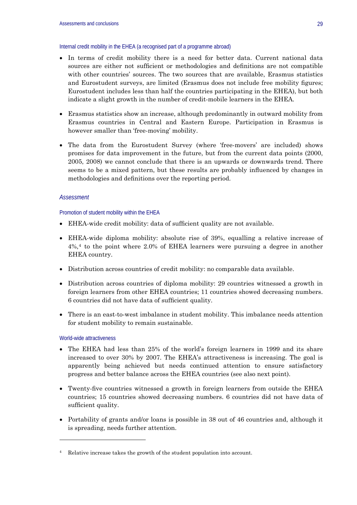#### Internal credit mobility in the EHEA (a recognised part of a programme abroad)

- In terms of credit mobility there is a need for better data. Current national data sources are either not sufficient or methodologies and definitions are not compatible with other countries' sources. The two sources that are available, Erasmus statistics and Eurostudent surveys, are limited (Erasmus does not include free mobility figures; Eurostudent includes less than half the countries participating in the EHEA), but both indicate a slight growth in the number of credit-mobile learners in the EHEA.
- Erasmus statistics show an increase, although predominantly in outward mobility from Erasmus countries in Central and Eastern Europe. Participation in Erasmus is however smaller than 'free-moving' mobility.
- The data from the Eurostudent Survey (where 'free-movers' are included) shows promises for data improvement in the future, but from the current data points (2000, 2005, 2008) we cannot conclude that there is an upwards or downwards trend. There seems to be a mixed pattern, but these results are probably influenced by changes in methodologies and definitions over the reporting period.

#### *Assessment*

Promotion of student mobility within the EHEA

- EHEA-wide credit mobility: data of sufficient quality are not available.
- EHEA-wide diploma mobility: absolute rise of 39%, equalling a relative increase of 4%,[4](#page-30-0) to the point where 2.0% of EHEA learners were pursuing a degree in another EHEA country.
- Distribution across countries of credit mobility: no comparable data available.
- Distribution across countries of diploma mobility: 29 countries witnessed a growth in foreign learners from other EHEA countries; 11 countries showed decreasing numbers. 6 countries did not have data of sufficient quality.
- There is an east-to-west imbalance in student mobility. This imbalance needs attention for student mobility to remain sustainable.

#### World-wide attractiveness

 $\overline{a}$ 

- The EHEA had less than 25% of the world's foreign learners in 1999 and its share increased to over 30% by 2007. The EHEA's attractiveness is increasing. The goal is apparently being achieved but needs continued attention to ensure satisfactory progress and better balance across the EHEA countries (see also next point).
- Twenty-five countries witnessed a growth in foreign learners from outside the EHEA countries; 15 countries showed decreasing numbers. 6 countries did not have data of sufficient quality.
- Portability of grants and/or loans is possible in 38 out of 46 countries and, although it is spreading, needs further attention.

<span id="page-30-0"></span><sup>&</sup>lt;sup>4</sup> Relative increase takes the growth of the student population into account.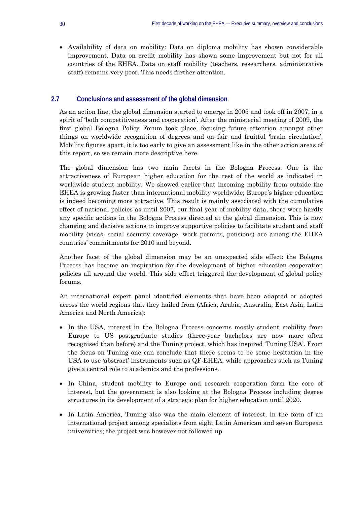Availability of data on mobility: Data on diploma mobility has shown considerable improvement. Data on credit mobility has shown some improvement but not for all countries of the EHEA. Data on staff mobility (teachers, researchers, administrative staff) remains very poor. This needs further attention.

#### <span id="page-31-0"></span>**2.7 Conclusions and assessment of the global dimension**

As an action line, the global dimension started to emerge in 2005 and took off in 2007, in a spirit of 'both competitiveness and cooperation'. After the ministerial meeting of 2009, the first global Bologna Policy Forum took place, focusing future attention amongst other things on worldwide recognition of degrees and on fair and fruitful 'brain circulation'. Mobility figures apart, it is too early to give an assessment like in the other action areas of this report, so we remain more descriptive here.

The global dimension has two main facets in the Bologna Process. One is the attractiveness of European higher education for the rest of the world as indicated in worldwide student mobility. We showed earlier that incoming mobility from outside the EHEA is growing faster than international mobility worldwide; Europe's higher education is indeed becoming more attractive. This result is mainly associated with the cumulative effect of national policies as until 2007, our final year of mobility data, there were hardly any specific actions in the Bologna Process directed at the global dimension. This is now changing and decisive actions to improve supportive policies to facilitate student and staff mobility (visas, social security coverage, work permits, pensions) are among the EHEA countries' commitments for 2010 and beyond.

Another facet of the global dimension may be an unexpected side effect: the Bologna Process has become an inspiration for the development of higher education cooperation policies all around the world. This side effect triggered the development of global policy forums.

An international expert panel identified elements that have been adapted or adopted across the world regions that they hailed from (Africa, Arabia, Australia, East Asia, Latin America and North America):

- In the USA, interest in the Bologna Process concerns mostly student mobility from Europe to US postgraduate studies (three-year bachelors are now more often recognised than before) and the Tuning project, which has inspired 'Tuning USA'. From the focus on Tuning one can conclude that there seems to be some hesitation in the USA to use 'abstract' instruments such as QF-EHEA, while approaches such as Tuning give a central role to academics and the professions.
- In China, student mobility to Europe and research cooperation form the core of interest, but the government is also looking at the Bologna Process including degree structures in its development of a strategic plan for higher education until 2020.
- In Latin America, Tuning also was the main element of interest, in the form of an international project among specialists from eight Latin American and seven European universities; the project was however not followed up.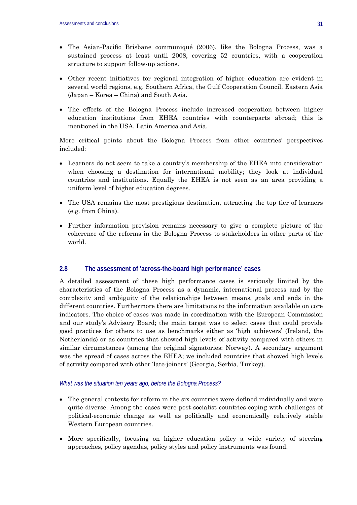- The Asian-Pacific Brisbane communiqué (2006), like the Bologna Process, was a sustained process at least until 2008, covering 52 countries, with a cooperation structure to support follow-up actions.
- Other recent initiatives for regional integration of higher education are evident in several world regions, e.g. Southern Africa, the Gulf Cooperation Council, Eastern Asia (Japan – Korea – China) and South Asia.
- The effects of the Bologna Process include increased cooperation between higher education institutions from EHEA countries with counterparts abroad; this is mentioned in the USA, Latin America and Asia.

More critical points about the Bologna Process from other countries' perspectives included:

- Learners do not seem to take a country's membership of the EHEA into consideration when choosing a destination for international mobility; they look at individual countries and institutions. Equally the EHEA is not seen as an area providing a uniform level of higher education degrees.
- The USA remains the most prestigious destination, attracting the top tier of learners (e.g. from China).
- Further information provision remains necessary to give a complete picture of the coherence of the reforms in the Bologna Process to stakeholders in other parts of the world.

#### <span id="page-32-0"></span>**2.8 The assessment of 'across-the-board high performance' cases**

A detailed assessment of these high performance cases is seriously limited by the characteristics of the Bologna Process as a dynamic, international process and by the complexity and ambiguity of the relationships between means, goals and ends in the different countries. Furthermore there are limitations to the information available on core indicators. The choice of cases was made in coordination with the European Commission and our study's Advisory Board; the main target was to select cases that could provide good practices for others to use as benchmarks either as 'high achievers' (Ireland, the Netherlands) or as countries that showed high levels of activity compared with others in similar circumstances (among the original signatories: Norway). A secondary argument was the spread of cases across the EHEA; we included countries that showed high levels of activity compared with other 'late-joiners' (Georgia, Serbia, Turkey).

#### *What was the situation ten years ago, before the Bologna Process?*

- The general contexts for reform in the six countries were defined individually and were quite diverse. Among the cases were post-socialist countries coping with challenges of political-economic change as well as politically and economically relatively stable Western European countries.
- More specifically, focusing on higher education policy a wide variety of steering approaches, policy agendas, policy styles and policy instruments was found.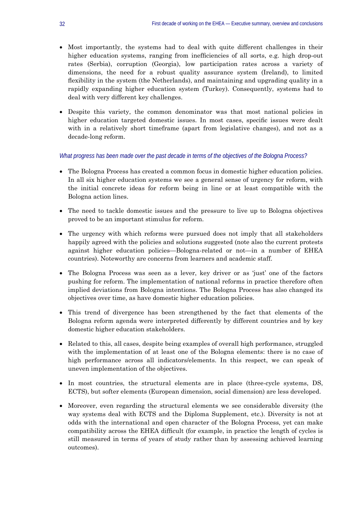- Most importantly, the systems had to deal with quite different challenges in their higher education systems, ranging from inefficiencies of all sorts, e.g. high drop-out rates (Serbia), corruption (Georgia), low participation rates across a variety of dimensions, the need for a robust quality assurance system (Ireland), to limited flexibility in the system (the Netherlands), and maintaining and upgrading quality in a rapidly expanding higher education system (Turkey). Consequently, systems had to deal with very different key challenges.
- Despite this variety, the common denominator was that most national policies in higher education targeted domestic issues. In most cases, specific issues were dealt with in a relatively short timeframe (apart from legislative changes), and not as a decade-long reform.

#### *What progress has been made over the past decade in terms of the objectives of the Bologna Process?*

- The Bologna Process has created a common focus in domestic higher education policies. In all six higher education systems we see a general sense of urgency for reform, with the initial concrete ideas for reform being in line or at least compatible with the Bologna action lines.
- The need to tackle domestic issues and the pressure to live up to Bologna objectives proved to be an important stimulus for reform.
- The urgency with which reforms were pursued does not imply that all stakeholders happily agreed with the policies and solutions suggested (note also the current protests against higher education policies—Bologna-related or not—in a number of EHEA countries). Noteworthy are concerns from learners and academic staff.
- The Bologna Process was seen as a lever, key driver or as 'just' one of the factors pushing for reform. The implementation of national reforms in practice therefore often implied deviations from Bologna intentions. The Bologna Process has also changed its objectives over time, as have domestic higher education policies.
- This trend of divergence has been strengthened by the fact that elements of the Bologna reform agenda were interpreted differently by different countries and by key domestic higher education stakeholders.
- Related to this, all cases, despite being examples of overall high performance, struggled with the implementation of at least one of the Bologna elements: there is no case of high performance across all indicators/elements. In this respect, we can speak of uneven implementation of the objectives.
- In most countries, the structural elements are in place (three-cycle systems, DS, ECTS), but softer elements (European dimension, social dimension) are less developed.
- Moreover, even regarding the structural elements we see considerable diversity (the way systems deal with ECTS and the Diploma Supplement, etc.). Diversity is not at odds with the international and open character of the Bologna Process, yet can make compatibility across the EHEA difficult (for example, in practice the length of cycles is still measured in terms of years of study rather than by assessing achieved learning outcomes).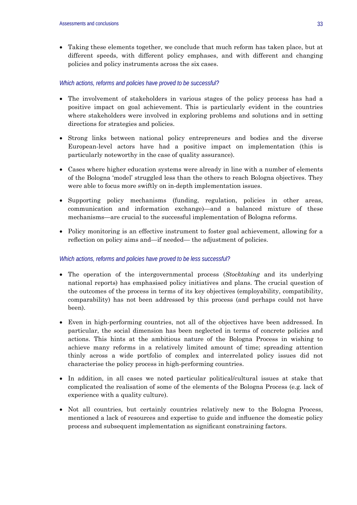Taking these elements together, we conclude that much reform has taken place, but at different speeds, with different policy emphases, and with different and changing policies and policy instruments across the six cases.

#### *Which actions, reforms and policies have proved to be successful?*

- The involvement of stakeholders in various stages of the policy process has had a positive impact on goal achievement. This is particularly evident in the countries where stakeholders were involved in exploring problems and solutions and in setting directions for strategies and policies.
- Strong links between national policy entrepreneurs and bodies and the diverse European-level actors have had a positive impact on implementation (this is particularly noteworthy in the case of quality assurance).
- Cases where higher education systems were already in line with a number of elements of the Bologna 'model' struggled less than the others to reach Bologna objectives. They were able to focus more swiftly on in-depth implementation issues.
- Supporting policy mechanisms (funding, regulation, policies in other areas, communication and information exchange)—and a balanced mixture of these mechanisms—are crucial to the successful implementation of Bologna reforms.
- Policy monitoring is an effective instrument to foster goal achievement, allowing for a reflection on policy aims and—if needed— the adjustment of policies.

#### *Which actions, reforms and policies have proved to be less successful?*

- The operation of the intergovernmental process (*Stocktaking* and its underlying national reports) has emphasised policy initiatives and plans. The crucial question of the outcomes of the process in terms of its key objectives (employability, compatibility, comparability) has not been addressed by this process (and perhaps could not have been).
- Even in high-performing countries, not all of the objectives have been addressed. In particular, the social dimension has been neglected in terms of concrete policies and actions. This hints at the ambitious nature of the Bologna Process in wishing to achieve many reforms in a relatively limited amount of time; spreading attention thinly across a wide portfolio of complex and interrelated policy issues did not characterise the policy process in high-performing countries.
- In addition, in all cases we noted particular political/cultural issues at stake that complicated the realisation of some of the elements of the Bologna Process (e.g. lack of experience with a quality culture).
- Not all countries, but certainly countries relatively new to the Bologna Process, mentioned a lack of resources and expertise to guide and influence the domestic policy process and subsequent implementation as significant constraining factors.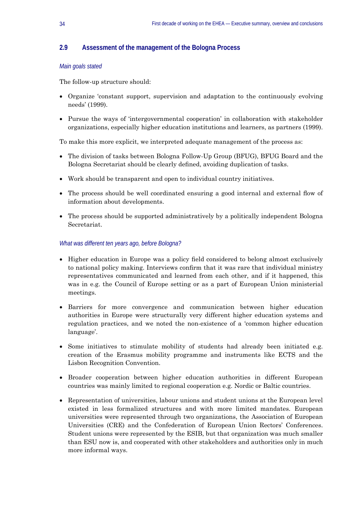#### <span id="page-35-0"></span>**2.9 Assessment of the management of the Bologna Process**

#### *Main goals stated*

The follow-up structure should:

- Organize 'constant support, supervision and adaptation to the continuously evolving needs' (1999).
- Pursue the ways of 'intergovernmental cooperation' in collaboration with stakeholder organizations, especially higher education institutions and learners, as partners (1999).

To make this more explicit, we interpreted adequate management of the process as:

- The division of tasks between Bologna Follow-Up Group (BFUG), BFUG Board and the Bologna Secretariat should be clearly defined, avoiding duplication of tasks.
- Work should be transparent and open to individual country initiatives.
- The process should be well coordinated ensuring a good internal and external flow of information about developments.
- The process should be supported administratively by a politically independent Bologna Secretariat.

#### *What was different ten years ago, before Bologna?*

- Higher education in Europe was a policy field considered to belong almost exclusively to national policy making. Interviews confirm that it was rare that individual ministry representatives communicated and learned from each other, and if it happened, this was in e.g. the Council of Europe setting or as a part of European Union ministerial meetings.
- Barriers for more convergence and communication between higher education authorities in Europe were structurally very different higher education systems and regulation practices, and we noted the non-existence of a 'common higher education language'.
- Some initiatives to stimulate mobility of students had already been initiated e.g. creation of the Erasmus mobility programme and instruments like ECTS and the Lisbon Recognition Convention.
- Broader cooperation between higher education authorities in different European countries was mainly limited to regional cooperation e.g. Nordic or Baltic countries.
- Representation of universities, labour unions and student unions at the European level existed in less formalized structures and with more limited mandates. European universities were represented through two organizations, the Association of European Universities (CRE) and the Confederation of European Union Rectors' Conferences. Student unions were represented by the ESIB, but that organization was much smaller than ESU now is, and cooperated with other stakeholders and authorities only in much more informal ways.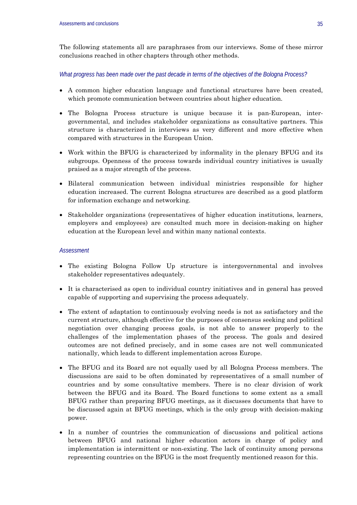The following statements all are paraphrases from our interviews. Some of these mirror conclusions reached in other chapters through other methods.

#### *What progress has been made over the past decade in terms of the objectives of the Bologna Process?*

- A common higher education language and functional structures have been created, which promote communication between countries about higher education.
- The Bologna Process structure is unique because it is pan-European, intergovernmental, and includes stakeholder organizations as consultative partners. This structure is characterized in interviews as very different and more effective when compared with structures in the European Union.
- Work within the BFUG is characterized by informality in the plenary BFUG and its subgroups. Openness of the process towards individual country initiatives is usually praised as a major strength of the process.
- Bilateral communication between individual ministries responsible for higher education increased. The current Bologna structures are described as a good platform for information exchange and networking.
- Stakeholder organizations (representatives of higher education institutions, learners, employers and employees) are consulted much more in decision-making on higher education at the European level and within many national contexts.

#### *Assessment*

- The existing Bologna Follow Up structure is intergovernmental and involves stakeholder representatives adequately.
- It is characterised as open to individual country initiatives and in general has proved capable of supporting and supervising the process adequately.
- The extent of adaptation to continuously evolving needs is not as satisfactory and the current structure, although effective for the purposes of consensus seeking and political negotiation over changing process goals, is not able to answer properly to the challenges of the implementation phases of the process. The goals and desired outcomes are not defined precisely, and in some cases are not well communicated nationally, which leads to different implementation across Europe.
- The BFUG and its Board are not equally used by all Bologna Process members. The discussions are said to be often dominated by representatives of a small number of countries and by some consultative members. There is no clear division of work between the BFUG and its Board. The Board functions to some extent as a small BFUG rather than preparing BFUG meetings, as it discusses documents that have to be discussed again at BFUG meetings, which is the only group with decision-making power.
- In a number of countries the communication of discussions and political actions between BFUG and national higher education actors in charge of policy and implementation is intermittent or non-existing. The lack of continuity among persons representing countries on the BFUG is the most frequently mentioned reason for this.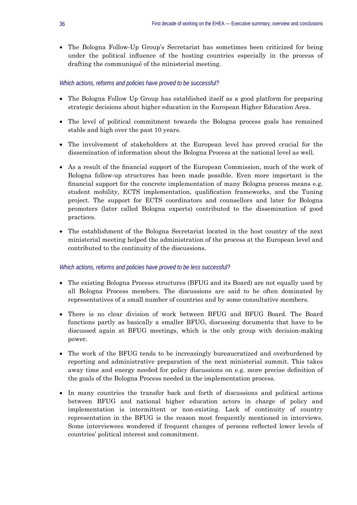The Bologna Follow-Up Group's Secretariat has sometimes been criticized for being under the political influence of the hosting countries especially in the process of drafting the communiqué of the ministerial meeting.

#### *Which actions, reforms and policies have proved to be successful?*

- The Bologna Follow Up Group has established itself as a good platform for preparing strategic decisions about higher education in the European Higher Education Area.
- The level of political commitment towards the Bologna process goals has remained stable and high over the past 10 years.
- The involvement of stakeholders at the European level has proved crucial for the dissemination of information about the Bologna Process at the national level as well.
- As a result of the financial support of the European Commission, much of the work of Bologna follow-up structures has been made possible. Even more important is the financial support for the concrete implementation of many Bologna process means e.g. student mobility, ECTS implementation, qualification frameworks, and the Tuning project. The support for ECTS coordinators and counsellors and later for Bologna promoters (later called Bologna experts) contributed to the dissemination of good practices.
- The establishment of the Bologna Secretariat located in the host country of the next ministerial meeting helped the administration of the process at the European level and contributed to the continuity of the discussions.

#### *Which actions, reforms and policies have proved to be less successful?*

- The existing Bologna Process structures (BFUG and its Board) are not equally used by all Bologna Process members. The discussions are said to be often dominated by representatives of a small number of countries and by some consultative members.
- There is no clear division of work between BFUG and BFUG Board. The Board functions partly as basically a smaller BFUG, discussing documents that have to be discussed again at BFUG meetings, which is the only group with decision-making power.
- The work of the BFUG tends to be increasingly bureaucratized and overburdened by reporting and administrative preparation of the next ministerial summit. This takes away time and energy needed for policy discussions on e.g. more precise definition of the goals of the Bologna Process needed in the implementation process.
- In many countries the transfer back and forth of discussions and political actions between BFUG and national higher education actors in charge of policy and implementation is intermittent or non-existing. Lack of continuity of country representation in the BFUG is the reason most frequently mentioned in interviews. Some interviewees wondered if frequent changes of persons reflected lower levels of countries' political interest and commitment.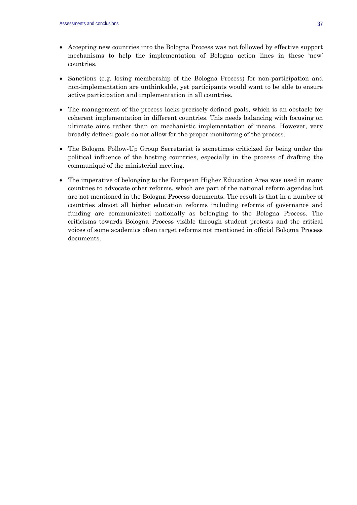- Accepting new countries into the Bologna Process was not followed by effective support mechanisms to help the implementation of Bologna action lines in these 'new' countries.
- Sanctions (e.g. losing membership of the Bologna Process) for non-participation and non-implementation are unthinkable, yet participants would want to be able to ensure active participation and implementation in all countries.
- The management of the process lacks precisely defined goals, which is an obstacle for coherent implementation in different countries. This needs balancing with focusing on ultimate aims rather than on mechanistic implementation of means. However, very broadly defined goals do not allow for the proper monitoring of the process.
- The Bologna Follow-Up Group Secretariat is sometimes criticized for being under the political influence of the hosting countries, especially in the process of drafting the communiqué of the ministerial meeting.
- The imperative of belonging to the European Higher Education Area was used in many countries to advocate other reforms, which are part of the national reform agendas but are not mentioned in the Bologna Process documents. The result is that in a number of countries almost all higher education reforms including reforms of governance and funding are communicated nationally as belonging to the Bologna Process. The criticisms towards Bologna Process visible through student protests and the critical voices of some academics often target reforms not mentioned in official Bologna Process documents.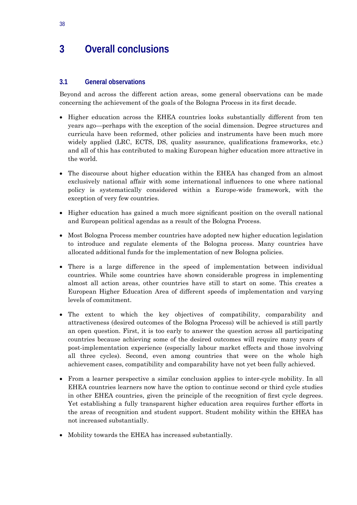## <span id="page-39-0"></span>**3 Overall conclusions**

#### **3.1 General observations**

<span id="page-39-1"></span>Beyond and across the different action areas, some general observations can be made concerning the achievement of the goals of the Bologna Process in its first decade.

- Higher education across the EHEA countries looks substantially different from ten years ago—perhaps with the exception of the social dimension. Degree structures and curricula have been reformed, other policies and instruments have been much more widely applied (LRC, ECTS, DS, quality assurance, qualifications frameworks, etc.) and all of this has contributed to making European higher education more attractive in the world.
- The discourse about higher education within the EHEA has changed from an almost exclusively national affair with some international influences to one where national policy is systematically considered within a Europe-wide framework, with the exception of very few countries.
- Higher education has gained a much more significant position on the overall national and European political agendas as a result of the Bologna Process.
- Most Bologna Process member countries have adopted new higher education legislation to introduce and regulate elements of the Bologna process. Many countries have allocated additional funds for the implementation of new Bologna policies.
- There is a large difference in the speed of implementation between individual countries. While some countries have shown considerable progress in implementing almost all action areas, other countries have still to start on some. This creates a European Higher Education Area of different speeds of implementation and varying levels of commitment.
- The extent to which the key objectives of compatibility, comparability and attractiveness (desired outcomes of the Bologna Process) will be achieved is still partly an open question. First, it is too early to answer the question across all participating countries because achieving some of the desired outcomes will require many years of post-implementation experience (especially labour market effects and those involving all three cycles). Second, even among countries that were on the whole high achievement cases, compatibility and comparability have not yet been fully achieved.
- From a learner perspective a similar conclusion applies to inter-cycle mobility. In all EHEA countries learners now have the option to continue second or third cycle studies in other EHEA countries, given the principle of the recognition of first cycle degrees. Yet establishing a fully transparent higher education area requires further efforts in the areas of recognition and student support. Student mobility within the EHEA has not increased substantially.
- Mobility towards the EHEA has increased substantially.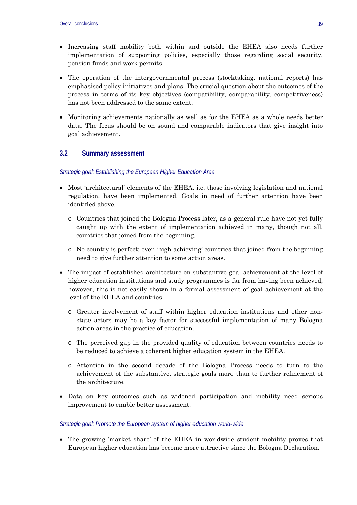- Increasing staff mobility both within and outside the EHEA also needs further implementation of supporting policies, especially those regarding social security, pension funds and work permits.
- The operation of the intergovernmental process (stocktaking, national reports) has emphasised policy initiatives and plans. The crucial question about the outcomes of the process in terms of its key objectives (compatibility, comparability, competitiveness) has not been addressed to the same extent.
- Monitoring achievements nationally as well as for the EHEA as a whole needs better data. The focus should be on sound and comparable indicators that give insight into goal achievement.

#### <span id="page-40-0"></span>**3.2 Summary assessment**

#### *Strategic goal: Establishing the European Higher Education Area*

- Most 'architectural' elements of the EHEA, i.e. those involving legislation and national regulation, have been implemented. Goals in need of further attention have been identified above.
	- o Countries that joined the Bologna Process later, as a general rule have not yet fully caught up with the extent of implementation achieved in many, though not all, countries that joined from the beginning.
	- o No country is perfect: even 'high-achieving' countries that joined from the beginning need to give further attention to some action areas.
- The impact of established architecture on substantive goal achievement at the level of higher education institutions and study programmes is far from having been achieved; however, this is not easily shown in a formal assessment of goal achievement at the level of the EHEA and countries.
	- o Greater involvement of staff within higher education institutions and other nonstate actors may be a key factor for successful implementation of many Bologna action areas in the practice of education.
	- o The perceived gap in the provided quality of education between countries needs to be reduced to achieve a coherent higher education system in the EHEA.
	- o Attention in the second decade of the Bologna Process needs to turn to the achievement of the substantive, strategic goals more than to further refinement of the architecture.
- Data on key outcomes such as widened participation and mobility need serious improvement to enable better assessment.

#### *Strategic goal: Promote the European system of higher education world-wide*

 The growing 'market share' of the EHEA in worldwide student mobility proves that European higher education has become more attractive since the Bologna Declaration.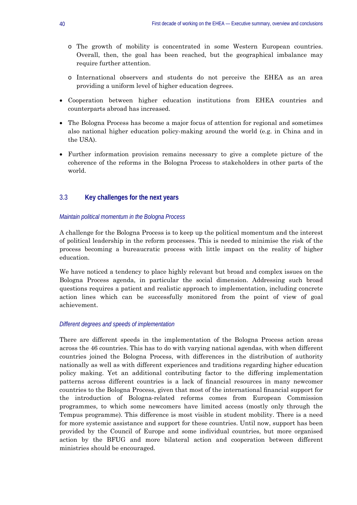- o The growth of mobility is concentrated in some Western European countries. Overall, then, the goal has been reached, but the geographical imbalance may require further attention.
- o International observers and students do not perceive the EHEA as an area providing a uniform level of higher education degrees.
- Cooperation between higher education institutions from EHEA countries and counterparts abroad has increased.
- The Bologna Process has become a major focus of attention for regional and sometimes also national higher education policy-making around the world (e.g. in China and in the USA).
- Further information provision remains necessary to give a complete picture of the coherence of the reforms in the Bologna Process to stakeholders in other parts of the world.

#### <span id="page-41-0"></span>3.3 **Key challenges for the next years**

#### *Maintain political momentum in the Bologna Process*

A challenge for the Bologna Process is to keep up the political momentum and the interest of political leadership in the reform processes. This is needed to minimise the risk of the process becoming a bureaucratic process with little impact on the reality of higher education.

We have noticed a tendency to place highly relevant but broad and complex issues on the Bologna Process agenda, in particular the social dimension. Addressing such broad questions requires a patient and realistic approach to implementation, including concrete action lines which can be successfully monitored from the point of view of goal achievement.

#### *Different degrees and speeds of implementation*

There are different speeds in the implementation of the Bologna Process action areas across the 46 countries. This has to do with varying national agendas, with when different countries joined the Bologna Process, with differences in the distribution of authority nationally as well as with different experiences and traditions regarding higher education policy making. Yet an additional contributing factor to the differing implementation patterns across different countries is a lack of financial resources in many newcomer countries to the Bologna Process, given that most of the international financial support for the introduction of Bologna-related reforms comes from European Commission programmes, to which some newcomers have limited access (mostly only through the Tempus programme). This difference is most visible in student mobility. There is a need for more systemic assistance and support for these countries. Until now, support has been provided by the Council of Europe and some individual countries, but more organised action by the BFUG and more bilateral action and cooperation between different ministries should be encouraged.